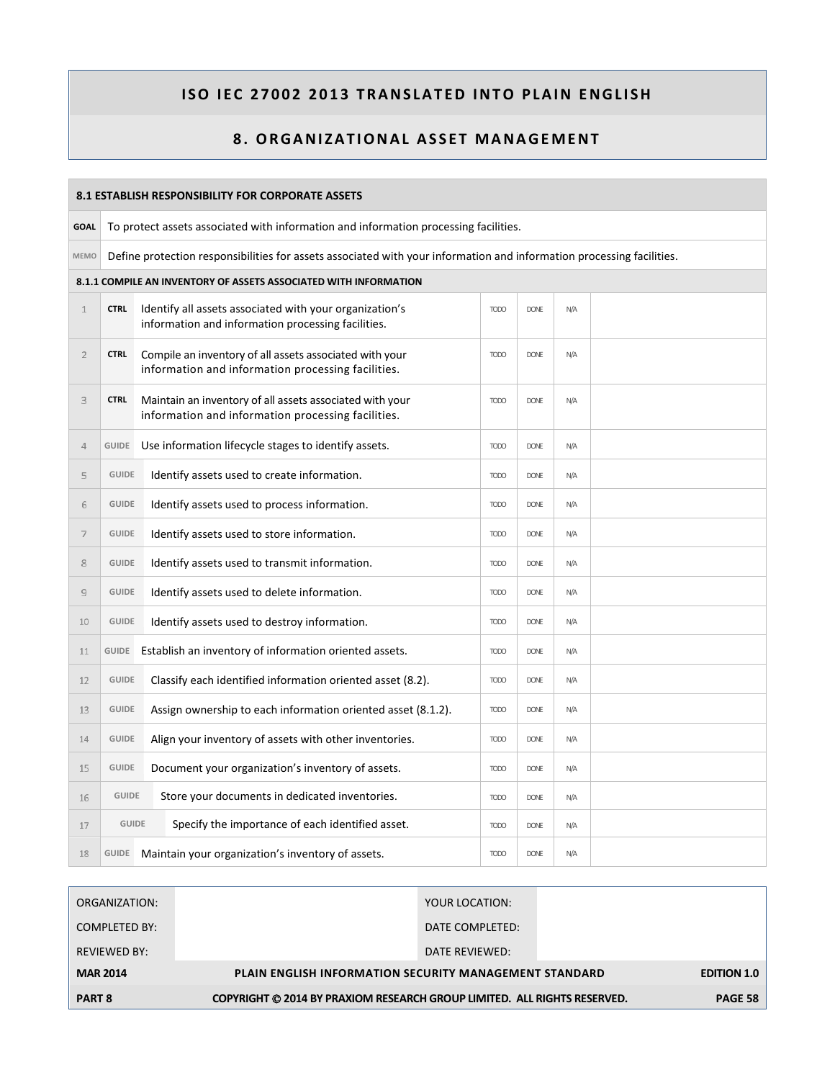|                | <b>8.1 ESTABLISH RESPONSIBILITY FOR CORPORATE ASSETS</b>                                                              |                                                                                                                |             |             |     |  |  |  |  |  |
|----------------|-----------------------------------------------------------------------------------------------------------------------|----------------------------------------------------------------------------------------------------------------|-------------|-------------|-----|--|--|--|--|--|
| <b>GOAL</b>    | To protect assets associated with information and information processing facilities.                                  |                                                                                                                |             |             |     |  |  |  |  |  |
| <b>MEMO</b>    | Define protection responsibilities for assets associated with your information and information processing facilities. |                                                                                                                |             |             |     |  |  |  |  |  |
|                | 8.1.1 COMPILE AN INVENTORY OF ASSETS ASSOCIATED WITH INFORMATION                                                      |                                                                                                                |             |             |     |  |  |  |  |  |
| $\mathbf 1$    | <b>CTRL</b>                                                                                                           | Identify all assets associated with your organization's<br>information and information processing facilities.  | <b>TODO</b> | <b>DONE</b> | N/A |  |  |  |  |  |
| $\overline{2}$ | <b>CTRL</b>                                                                                                           | Compile an inventory of all assets associated with your<br>information and information processing facilities.  | <b>TODO</b> | <b>DONE</b> | N/A |  |  |  |  |  |
| 3              | <b>CTRL</b>                                                                                                           | Maintain an inventory of all assets associated with your<br>information and information processing facilities. | <b>TODO</b> | <b>DONE</b> | N/A |  |  |  |  |  |
| $\overline{4}$ | GUIDE                                                                                                                 | Use information lifecycle stages to identify assets.                                                           | <b>TODO</b> | <b>DONE</b> | N/A |  |  |  |  |  |
| 5              | <b>GUIDE</b>                                                                                                          | Identify assets used to create information.                                                                    | <b>TODO</b> | <b>DONE</b> | N/A |  |  |  |  |  |
| 6              | <b>GUIDE</b>                                                                                                          | Identify assets used to process information.                                                                   | <b>TODO</b> | <b>DONE</b> | N/A |  |  |  |  |  |
| $\overline{7}$ | <b>GUIDE</b>                                                                                                          | Identify assets used to store information.                                                                     | <b>TODO</b> | <b>DONE</b> | N/A |  |  |  |  |  |
| 8              | <b>GUIDE</b>                                                                                                          | Identify assets used to transmit information.                                                                  | <b>TODO</b> | <b>DONE</b> | N/A |  |  |  |  |  |
| $\overline{9}$ | <b>GUIDE</b>                                                                                                          | Identify assets used to delete information.                                                                    | <b>TODO</b> | <b>DONE</b> | N/A |  |  |  |  |  |
| 10             | <b>GUIDE</b>                                                                                                          | Identify assets used to destroy information.                                                                   | <b>TODO</b> | <b>DONE</b> | N/A |  |  |  |  |  |
| 11             |                                                                                                                       | GUIDE Establish an inventory of information oriented assets.                                                   | <b>TODO</b> | <b>DONE</b> | N/A |  |  |  |  |  |
| 12             | <b>GUIDE</b>                                                                                                          | Classify each identified information oriented asset (8.2).                                                     | <b>TODO</b> | <b>DONE</b> | N/A |  |  |  |  |  |
| 13             | <b>GUIDE</b>                                                                                                          | Assign ownership to each information oriented asset (8.1.2).                                                   | <b>TODO</b> | <b>DONE</b> | N/A |  |  |  |  |  |
| 14             | <b>GUIDE</b>                                                                                                          | Align your inventory of assets with other inventories.                                                         | <b>TODO</b> | <b>DONE</b> | N/A |  |  |  |  |  |
| 15             | <b>GUIDE</b>                                                                                                          | Document your organization's inventory of assets.                                                              | <b>TODO</b> | <b>DONE</b> | N/A |  |  |  |  |  |
| 16             | <b>GUIDE</b>                                                                                                          | Store your documents in dedicated inventories.                                                                 | <b>TODO</b> | <b>DONE</b> | N/A |  |  |  |  |  |
| 17             | <b>GUIDE</b>                                                                                                          | Specify the importance of each identified asset.                                                               | <b>TODO</b> | <b>DONE</b> | N/A |  |  |  |  |  |
| 18             |                                                                                                                       | GUIDE Maintain your organization's inventory of assets.                                                        | <b>TODO</b> | <b>DONE</b> | N/A |  |  |  |  |  |

| ORGANIZATION:       | YOUR LOCATION:                                                           |                    |
|---------------------|--------------------------------------------------------------------------|--------------------|
| COMPLETED BY:       | DATE COMPLETED:                                                          |                    |
| <b>REVIEWED BY:</b> | DATE REVIEWED:                                                           |                    |
| <b>MAR 2014</b>     | <b>PLAIN ENGLISH INFORMATION SECURITY MANAGEMENT STANDARD</b>            | <b>EDITION 1.0</b> |
| <b>PART 8</b>       | COPYRIGHT © 2014 BY PRAXIOM RESEARCH GROUP LIMITED. ALL RIGHTS RESERVED. | <b>PAGE 58</b>     |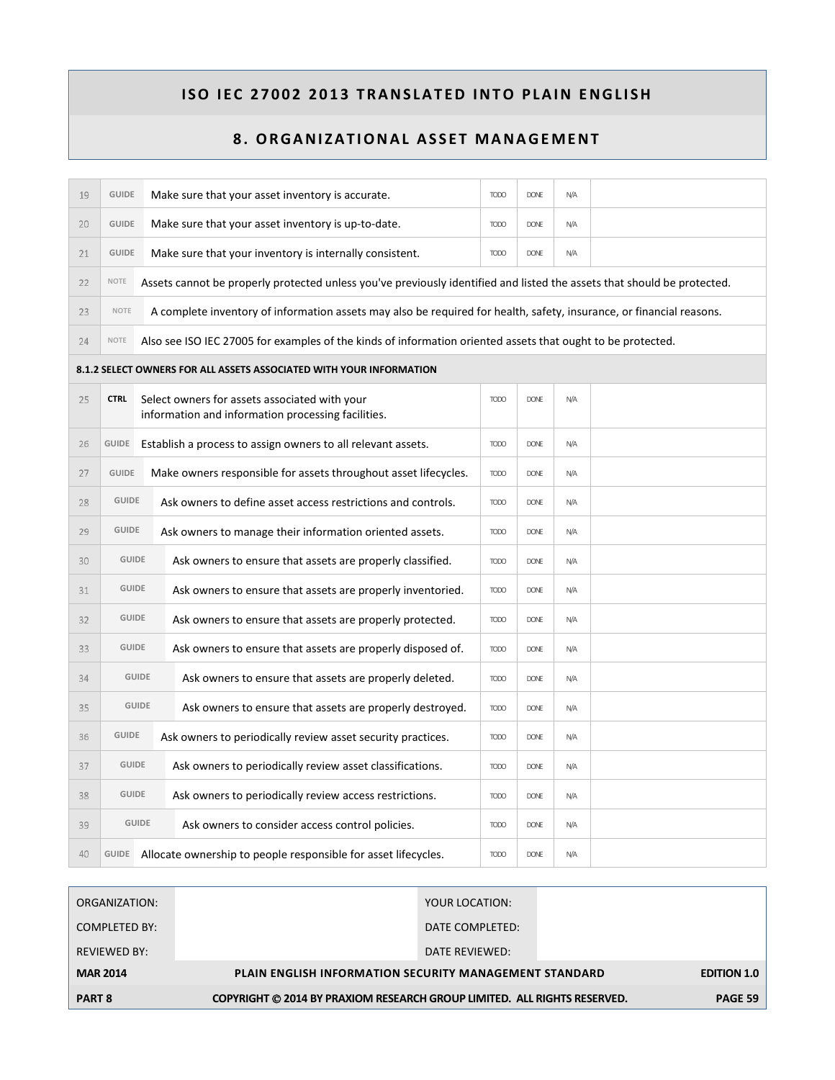| 19 | <b>GUIDE</b>                                                                                              |                                                                             | Make sure that your asset inventory is accurate.                                                                        | <b>TODO</b> | <b>DONE</b> | N/A |  |  |  |
|----|-----------------------------------------------------------------------------------------------------------|-----------------------------------------------------------------------------|-------------------------------------------------------------------------------------------------------------------------|-------------|-------------|-----|--|--|--|
| 20 | <b>GUIDE</b>                                                                                              |                                                                             | Make sure that your asset inventory is up-to-date.                                                                      | <b>TODO</b> | <b>DONE</b> | N/A |  |  |  |
| 21 | <b>GUIDE</b>                                                                                              |                                                                             | Make sure that your inventory is internally consistent.                                                                 | <b>TODO</b> | <b>DONE</b> | N/A |  |  |  |
| 22 | NOTE                                                                                                      |                                                                             | Assets cannot be properly protected unless you've previously identified and listed the assets that should be protected. |             |             |     |  |  |  |
| 23 | <b>NOTE</b>                                                                                               |                                                                             | A complete inventory of information assets may also be required for health, safety, insurance, or financial reasons.    |             |             |     |  |  |  |
| 24 | NOTE                                                                                                      |                                                                             | Also see ISO IEC 27005 for examples of the kinds of information oriented assets that ought to be protected.             |             |             |     |  |  |  |
|    |                                                                                                           |                                                                             | 8.1.2 SELECT OWNERS FOR ALL ASSETS ASSOCIATED WITH YOUR INFORMATION                                                     |             |             |     |  |  |  |
| 25 | <b>CTRL</b>                                                                                               |                                                                             | Select owners for assets associated with your<br>information and information processing facilities.                     | <b>TODO</b> | <b>DONE</b> | N/A |  |  |  |
| 26 | <b>GUIDE</b>                                                                                              |                                                                             | Establish a process to assign owners to all relevant assets.                                                            | <b>TODO</b> | <b>DONE</b> | N/A |  |  |  |
| 27 | <b>GUIDE</b>                                                                                              |                                                                             | Make owners responsible for assets throughout asset lifecycles.                                                         | <b>TODO</b> | <b>DONE</b> | N/A |  |  |  |
| 28 | <b>GUIDE</b>                                                                                              |                                                                             | Ask owners to define asset access restrictions and controls.                                                            | <b>TODO</b> | <b>DONE</b> | N/A |  |  |  |
| 29 | <b>GUIDE</b>                                                                                              |                                                                             | Ask owners to manage their information oriented assets.                                                                 | <b>TODO</b> | <b>DONE</b> | N/A |  |  |  |
| 30 | <b>GUIDE</b>                                                                                              |                                                                             | Ask owners to ensure that assets are properly classified.                                                               | <b>TODO</b> | <b>DONE</b> | N/A |  |  |  |
| 31 | <b>GUIDE</b>                                                                                              |                                                                             | Ask owners to ensure that assets are properly inventoried.                                                              | <b>TODO</b> | <b>DONE</b> | N/A |  |  |  |
| 32 | <b>GUIDE</b>                                                                                              |                                                                             | Ask owners to ensure that assets are properly protected.                                                                | <b>TODO</b> | <b>DONE</b> | N/A |  |  |  |
| 33 | <b>GUIDE</b>                                                                                              |                                                                             | Ask owners to ensure that assets are properly disposed of.                                                              | <b>TODO</b> | <b>DONE</b> | N/A |  |  |  |
| 34 |                                                                                                           | <b>GUIDE</b>                                                                | Ask owners to ensure that assets are properly deleted.                                                                  | <b>TODO</b> | <b>DONE</b> | N/A |  |  |  |
| 35 | <b>GUIDE</b><br>Ask owners to ensure that assets are properly destroyed.                                  |                                                                             | <b>TODO</b>                                                                                                             | <b>DONE</b> | N/A         |     |  |  |  |
| 36 |                                                                                                           | <b>GUIDE</b><br>Ask owners to periodically review asset security practices. |                                                                                                                         | <b>TODO</b> | <b>DONE</b> | N/A |  |  |  |
| 37 |                                                                                                           | <b>GUIDE</b><br>Ask owners to periodically review asset classifications.    |                                                                                                                         | <b>TODO</b> | <b>DONE</b> | N/A |  |  |  |
| 38 | <b>GUIDE</b>                                                                                              |                                                                             | Ask owners to periodically review access restrictions.                                                                  | <b>TODO</b> | <b>DONE</b> | N/A |  |  |  |
| 39 |                                                                                                           | <b>GUIDE</b>                                                                | Ask owners to consider access control policies.                                                                         | <b>TODO</b> | <b>DONE</b> | N/A |  |  |  |
| 40 | GUIDE Allocate ownership to people responsible for asset lifecycles.<br><b>TODO</b><br><b>DONE</b><br>N/A |                                                                             |                                                                                                                         |             |             |     |  |  |  |

| <b>PART 8</b>       | COPYRIGHT © 2014 BY PRAXIOM RESEARCH GROUP LIMITED. ALL RIGHTS RESERVED. | <b>PAGE 59</b>     |
|---------------------|--------------------------------------------------------------------------|--------------------|
| <b>MAR 2014</b>     | <b>PLAIN ENGLISH INFORMATION SECURITY MANAGEMENT STANDARD</b>            | <b>EDITION 1.0</b> |
| <b>REVIEWED BY:</b> | DATE REVIEWED:                                                           |                    |
| COMPLETED BY:       | DATE COMPLETED:                                                          |                    |
| ORGANIZATION:       | YOUR LOCATION:                                                           |                    |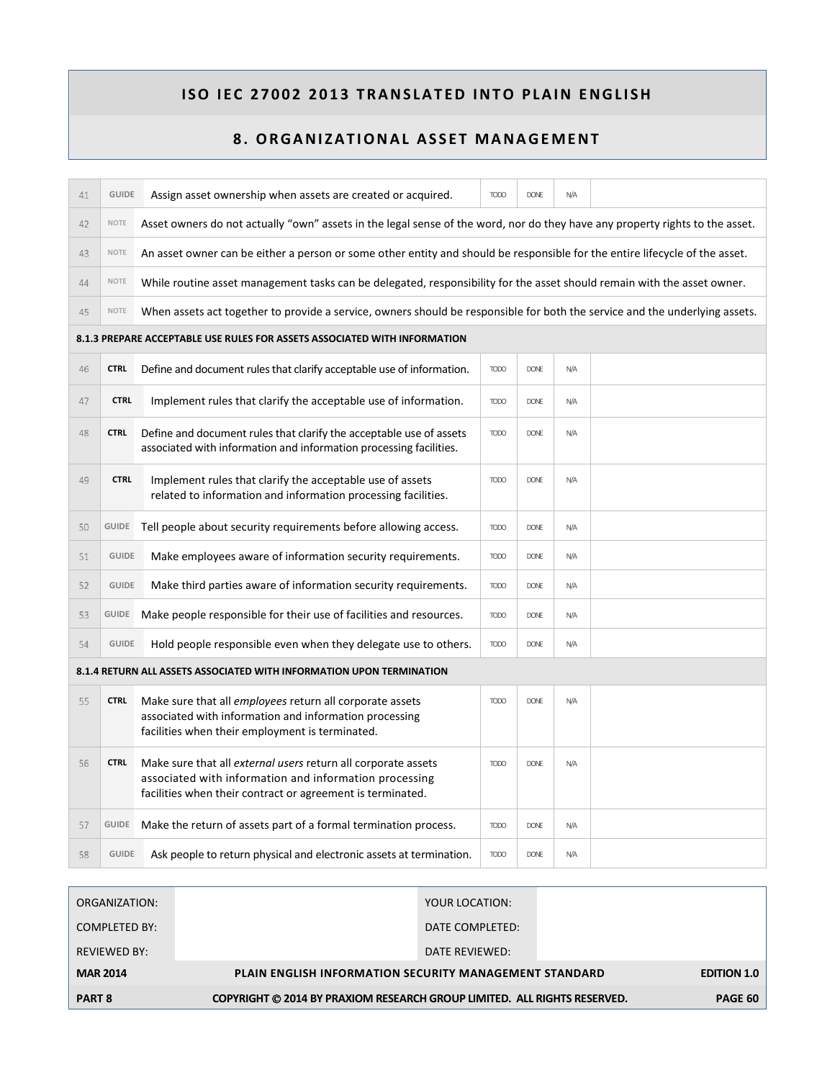| 41                                                                        | <b>GUIDE</b> | Assign asset ownership when assets are created or acquired.                                                                                                                           | <b>TODO</b> | <b>DONE</b> | N/A |  |  |  |  |  |  |
|---------------------------------------------------------------------------|--------------|---------------------------------------------------------------------------------------------------------------------------------------------------------------------------------------|-------------|-------------|-----|--|--|--|--|--|--|
| 42                                                                        | NOTE         | Asset owners do not actually "own" assets in the legal sense of the word, nor do they have any property rights to the asset.                                                          |             |             |     |  |  |  |  |  |  |
| 43                                                                        | <b>NOTE</b>  | An asset owner can be either a person or some other entity and should be responsible for the entire lifecycle of the asset.                                                           |             |             |     |  |  |  |  |  |  |
| 44                                                                        | <b>NOTE</b>  | While routine asset management tasks can be delegated, responsibility for the asset should remain with the asset owner.                                                               |             |             |     |  |  |  |  |  |  |
| 45                                                                        | <b>NOTE</b>  | When assets act together to provide a service, owners should be responsible for both the service and the underlying assets.                                                           |             |             |     |  |  |  |  |  |  |
| 8.1.3 PREPARE ACCEPTABLE USE RULES FOR ASSETS ASSOCIATED WITH INFORMATION |              |                                                                                                                                                                                       |             |             |     |  |  |  |  |  |  |
| 46                                                                        | <b>CTRL</b>  | Define and document rules that clarify acceptable use of information.                                                                                                                 | <b>TODO</b> | <b>DONE</b> | N/A |  |  |  |  |  |  |
| 47                                                                        | <b>CTRL</b>  | Implement rules that clarify the acceptable use of information.                                                                                                                       | <b>TODO</b> | <b>DONE</b> | N/A |  |  |  |  |  |  |
| 48                                                                        | <b>CTRL</b>  | Define and document rules that clarify the acceptable use of assets<br>associated with information and information processing facilities.                                             | <b>TODO</b> | <b>DONE</b> | N/A |  |  |  |  |  |  |
| 49                                                                        | <b>CTRL</b>  | Implement rules that clarify the acceptable use of assets<br>related to information and information processing facilities.                                                            | <b>TODO</b> | <b>DONE</b> | N/A |  |  |  |  |  |  |
| 50                                                                        | GUIDE        | Tell people about security requirements before allowing access.                                                                                                                       | <b>TODO</b> | <b>DONE</b> | N/A |  |  |  |  |  |  |
| 51                                                                        | <b>GUIDE</b> | Make employees aware of information security requirements.                                                                                                                            | <b>TODO</b> | <b>DONE</b> | N/A |  |  |  |  |  |  |
| 52                                                                        | <b>GUIDE</b> | Make third parties aware of information security requirements.                                                                                                                        | <b>TODO</b> | <b>DONE</b> | N/A |  |  |  |  |  |  |
| 53                                                                        |              | GUIDE Make people responsible for their use of facilities and resources.                                                                                                              | <b>TODO</b> | <b>DONE</b> | N/A |  |  |  |  |  |  |
| 54                                                                        | <b>GUIDE</b> | Hold people responsible even when they delegate use to others.                                                                                                                        | <b>TODO</b> | <b>DONE</b> | N/A |  |  |  |  |  |  |
|                                                                           |              | 8.1.4 RETURN ALL ASSETS ASSOCIATED WITH INFORMATION UPON TERMINATION                                                                                                                  |             |             |     |  |  |  |  |  |  |
| 55                                                                        | <b>CTRL</b>  | Make sure that all <i>employees</i> return all corporate assets<br>associated with information and information processing<br>facilities when their employment is terminated.          | <b>TODO</b> | <b>DONE</b> | N/A |  |  |  |  |  |  |
| 56                                                                        | <b>CTRL</b>  | Make sure that all external users return all corporate assets<br>associated with information and information processing<br>facilities when their contract or agreement is terminated. | <b>TODO</b> | <b>DONE</b> | N/A |  |  |  |  |  |  |
| 57                                                                        | GUIDE        | Make the return of assets part of a formal termination process.                                                                                                                       | <b>TODO</b> | <b>DONE</b> | N/A |  |  |  |  |  |  |
| 58                                                                        | <b>GUIDE</b> | Ask people to return physical and electronic assets at termination.                                                                                                                   | <b>TODO</b> | <b>DONE</b> | N/A |  |  |  |  |  |  |

| ORGANIZATION:       |                                                                          | YOUR LOCATION:                                                |  |         |  |
|---------------------|--------------------------------------------------------------------------|---------------------------------------------------------------|--|---------|--|
| COMPLETED BY:       |                                                                          | DATE COMPLETED:                                               |  |         |  |
| <b>REVIEWED BY:</b> |                                                                          | DATE REVIEWED:                                                |  |         |  |
| <b>MAR 2014</b>     |                                                                          | <b>PLAIN ENGLISH INFORMATION SECURITY MANAGEMENT STANDARD</b> |  |         |  |
| <b>PART 8</b>       | COPYRIGHT © 2014 BY PRAXIOM RESEARCH GROUP LIMITED. ALL RIGHTS RESERVED. |                                                               |  | PAGE 60 |  |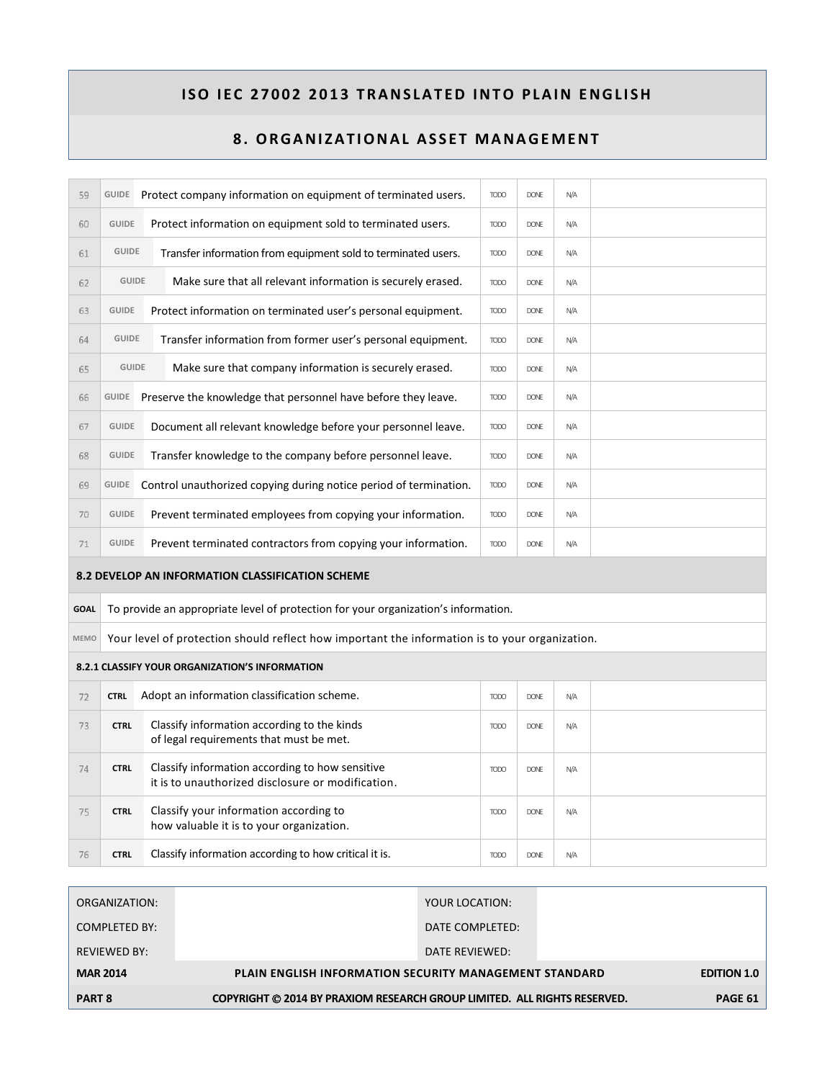| 59          |              | GUIDE Protect company information on equipment of terminated users.                                  | <b>TODO</b> | <b>DONE</b> | N/A |  |
|-------------|--------------|------------------------------------------------------------------------------------------------------|-------------|-------------|-----|--|
| 60          | <b>GUIDE</b> | Protect information on equipment sold to terminated users.                                           | <b>TODO</b> | <b>DONE</b> | N/A |  |
| 61          | <b>GUIDE</b> | Transfer information from equipment sold to terminated users.                                        | <b>TODO</b> | <b>DONF</b> | N/A |  |
| 62          | <b>GUIDE</b> | Make sure that all relevant information is securely erased.                                          | <b>TODO</b> | <b>DONE</b> | N/A |  |
| 63          | <b>GUIDE</b> | Protect information on terminated user's personal equipment.                                         | <b>TODO</b> | <b>DONE</b> | N/A |  |
| 64          | <b>GUIDE</b> | Transfer information from former user's personal equipment.                                          | <b>TODO</b> | <b>DONE</b> | N/A |  |
| 65          | <b>GUIDE</b> | Make sure that company information is securely erased.                                               | <b>TODO</b> | <b>DONE</b> | N/A |  |
| 66          | GUIDE        | Preserve the knowledge that personnel have before they leave.                                        | <b>TODO</b> | <b>DONE</b> | N/A |  |
| 67          | <b>GUIDE</b> | Document all relevant knowledge before your personnel leave.                                         | <b>TODO</b> | <b>DONE</b> | Ν/Α |  |
| 68          | <b>GUIDE</b> | Transfer knowledge to the company before personnel leave.                                            | <b>TODO</b> | <b>DONE</b> | N/A |  |
| 69          | GUIDE        | Control unauthorized copying during notice period of termination.                                    | <b>TODO</b> | <b>DONE</b> | N/A |  |
| 70          | <b>GUIDE</b> | Prevent terminated employees from copying your information.                                          | <b>TODO</b> | <b>DONE</b> | N/A |  |
| 71          | <b>GUIDE</b> | Prevent terminated contractors from copying your information.                                        | <b>TODO</b> | <b>DONE</b> | N/A |  |
|             |              | 8.2 DEVELOP AN INFORMATION CLASSIFICATION SCHEME                                                     |             |             |     |  |
| <b>GOAL</b> |              | To provide an appropriate level of protection for your organization's information.                   |             |             |     |  |
| <b>MEMO</b> |              | Your level of protection should reflect how important the information is to your organization.       |             |             |     |  |
|             |              | 8.2.1 CLASSIFY YOUR ORGANIZATION'S INFORMATION                                                       |             |             |     |  |
| 72          | <b>CTRL</b>  | Adopt an information classification scheme.                                                          | <b>TODO</b> | <b>DONE</b> | N/A |  |
| 73          | <b>CTRL</b>  | Classify information according to the kinds<br>of legal requirements that must be met.               | <b>TODO</b> | <b>DONE</b> | N/A |  |
| 74          | <b>CTRL</b>  | Classify information according to how sensitive<br>it is to unauthorized disclosure or modification. | <b>TODO</b> | <b>DONE</b> | N/A |  |
| 75          | <b>CTRL</b>  | Classify your information according to<br>how valuable it is to your organization.                   | <b>TODO</b> | <b>DONE</b> | N/A |  |
| 76          | <b>CTRL</b>  | Classify information according to how critical it is.                                                | <b>TODO</b> | <b>DONE</b> | N/A |  |

| ORGANIZATION:       |                                                                          | YOUR LOCATION:                                                |  |         |  |
|---------------------|--------------------------------------------------------------------------|---------------------------------------------------------------|--|---------|--|
| COMPLETED BY:       |                                                                          | DATE COMPLETED:                                               |  |         |  |
| <b>REVIEWED BY:</b> |                                                                          | DATE REVIEWED:                                                |  |         |  |
| <b>MAR 2014</b>     |                                                                          | <b>PLAIN ENGLISH INFORMATION SECURITY MANAGEMENT STANDARD</b> |  |         |  |
| <b>PART 8</b>       | COPYRIGHT © 2014 BY PRAXIOM RESEARCH GROUP LIMITED. ALL RIGHTS RESERVED. |                                                               |  | PAGE 61 |  |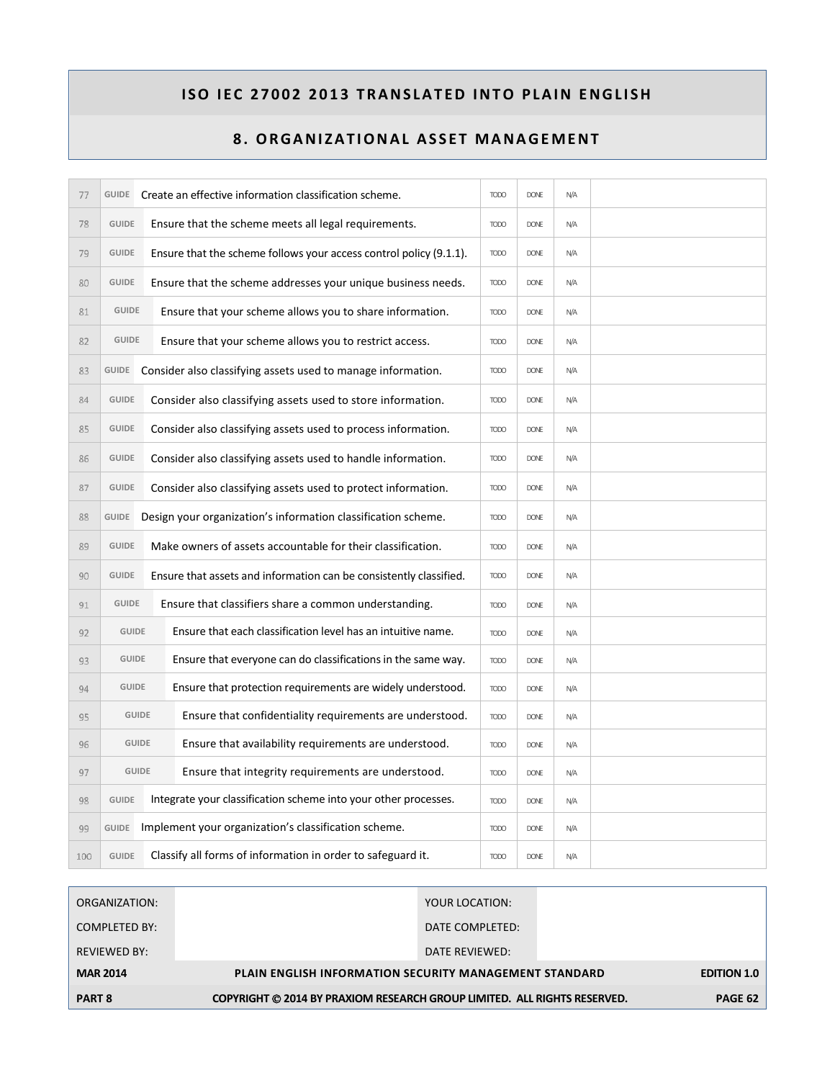| 77  |              |                                                                          | GUIDE Create an effective information classification scheme.       | <b>TODO</b> | <b>DONE</b> | N/A |  |
|-----|--------------|--------------------------------------------------------------------------|--------------------------------------------------------------------|-------------|-------------|-----|--|
| 78  | <b>GUIDE</b> |                                                                          | Ensure that the scheme meets all legal requirements.               | <b>TODO</b> | <b>DONE</b> | N/A |  |
| 79  | <b>GUIDE</b> |                                                                          | Ensure that the scheme follows your access control policy (9.1.1). | <b>TODO</b> | <b>DONE</b> | N/A |  |
| 80  | <b>GUIDE</b> |                                                                          | Ensure that the scheme addresses your unique business needs.       | <b>TODO</b> | <b>DONE</b> | N/A |  |
| 81  | <b>GUIDE</b> |                                                                          | Ensure that your scheme allows you to share information.           | <b>TODO</b> | <b>DONE</b> | N/A |  |
| 82  | <b>GUIDE</b> |                                                                          | Ensure that your scheme allows you to restrict access.             | <b>TODO</b> | <b>DONE</b> | N/A |  |
| 83  | GUIDE        |                                                                          | Consider also classifying assets used to manage information.       | <b>TODO</b> | <b>DONE</b> | N/A |  |
| 84  | <b>GUIDE</b> |                                                                          | Consider also classifying assets used to store information.        | <b>TODO</b> | <b>DONE</b> | N/A |  |
| 85  | <b>GUIDE</b> |                                                                          | Consider also classifying assets used to process information.      | <b>TODO</b> | <b>DONE</b> | N/A |  |
| 86  | <b>GUIDE</b> |                                                                          | Consider also classifying assets used to handle information.       |             | <b>DONE</b> | N/A |  |
| 87  | <b>GUIDE</b> |                                                                          | Consider also classifying assets used to protect information.      |             |             | N/A |  |
| 88  | <b>GUIDE</b> |                                                                          | Design your organization's information classification scheme.      | <b>TODO</b> | <b>DONE</b> | N/A |  |
| 89  | <b>GUIDE</b> |                                                                          | Make owners of assets accountable for their classification.        | <b>TODO</b> | <b>DONE</b> | N/A |  |
| 90  | <b>GUIDE</b> |                                                                          | Ensure that assets and information can be consistently classified. | <b>TODO</b> | <b>DONE</b> | N/A |  |
| 91  | <b>GUIDE</b> |                                                                          | Ensure that classifiers share a common understanding.              | <b>TODO</b> | <b>DONE</b> | N/A |  |
| 92  | <b>GUIDE</b> |                                                                          | Ensure that each classification level has an intuitive name.       | <b>TODO</b> | <b>DONE</b> | N/A |  |
| 93  | <b>GUIDE</b> |                                                                          | Ensure that everyone can do classifications in the same way.       | <b>TODO</b> | <b>DONE</b> | N/A |  |
| 94  | <b>GUIDE</b> |                                                                          | Ensure that protection requirements are widely understood.         | <b>TODO</b> | <b>DONE</b> | N/A |  |
| 95  |              | Ensure that confidentiality requirements are understood.<br><b>GUIDE</b> |                                                                    | <b>TODO</b> | DONE        | N/A |  |
| 96  | <b>GUIDE</b> | Ensure that availability requirements are understood.                    |                                                                    | <b>TODO</b> | <b>DONE</b> | N/A |  |
| 97  |              | Ensure that integrity requirements are understood.<br><b>GUIDE</b>       |                                                                    | <b>TODO</b> | <b>DONE</b> | N/A |  |
| 98  | <b>GUIDE</b> |                                                                          | Integrate your classification scheme into your other processes.    | <b>TODO</b> | <b>DONE</b> | N/A |  |
| 99  | <b>GUIDE</b> |                                                                          | Implement your organization's classification scheme.               | <b>TODO</b> | <b>DONE</b> | N/A |  |
| 100 | <b>GUIDE</b> |                                                                          | Classify all forms of information in order to safeguard it.        | <b>TODO</b> | <b>DONE</b> | N/A |  |

| ORGANIZATION:       |                                                                          | YOUR LOCATION:                                                |  |         |  |
|---------------------|--------------------------------------------------------------------------|---------------------------------------------------------------|--|---------|--|
| COMPLETED BY:       |                                                                          | DATE COMPLETED:                                               |  |         |  |
| <b>REVIEWED BY:</b> |                                                                          | DATE REVIEWED:                                                |  |         |  |
| <b>MAR 2014</b>     |                                                                          | <b>PLAIN ENGLISH INFORMATION SECURITY MANAGEMENT STANDARD</b> |  |         |  |
| <b>PART 8</b>       | COPYRIGHT © 2014 BY PRAXIOM RESEARCH GROUP LIMITED. ALL RIGHTS RESERVED. |                                                               |  | PAGE 62 |  |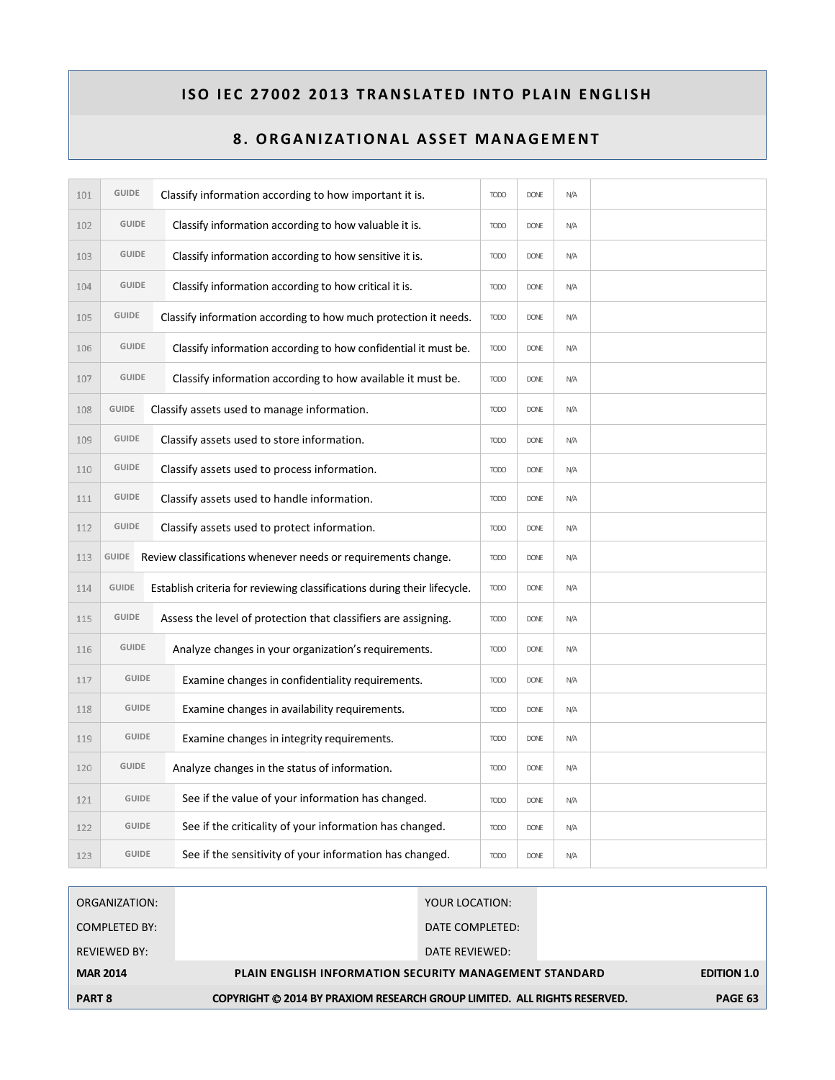| 101 | <b>GUIDE</b>                                                |  | Classify information according to how important it is.                   | <b>TODO</b> | <b>DONE</b> | N/A |  |
|-----|-------------------------------------------------------------|--|--------------------------------------------------------------------------|-------------|-------------|-----|--|
| 102 | <b>GUIDE</b>                                                |  | Classify information according to how valuable it is.                    | <b>TODO</b> | <b>DONE</b> | N/A |  |
| 103 | <b>GUIDE</b>                                                |  | Classify information according to how sensitive it is.                   | <b>TODO</b> | <b>DONE</b> | N/A |  |
| 104 | <b>GUIDE</b>                                                |  | Classify information according to how critical it is.                    | <b>TODO</b> | <b>DONE</b> | N/A |  |
| 105 | <b>GUIDE</b>                                                |  | Classify information according to how much protection it needs.          | <b>TODO</b> | <b>DONE</b> | N/A |  |
| 106 | <b>GUIDE</b>                                                |  | Classify information according to how confidential it must be.           | <b>TODO</b> | <b>DONE</b> | N/A |  |
| 107 | <b>GUIDE</b>                                                |  | Classify information according to how available it must be.              | <b>TODO</b> | <b>DONE</b> | N/A |  |
| 108 | <b>GUIDE</b>                                                |  | Classify assets used to manage information.                              | <b>TODO</b> | <b>DONE</b> | N/A |  |
| 109 | <b>GUIDE</b>                                                |  | Classify assets used to store information.                               | <b>TODO</b> | <b>DONE</b> | N/A |  |
| 110 | <b>GUIDE</b>                                                |  | Classify assets used to process information.                             | <b>TODO</b> | <b>DONE</b> | N/A |  |
| 111 | <b>GUIDE</b><br>Classify assets used to handle information. |  |                                                                          |             | <b>DONE</b> | N/A |  |
| 112 | <b>GUIDE</b>                                                |  | Classify assets used to protect information.                             | <b>TODO</b> | <b>DONE</b> | N/A |  |
| 113 |                                                             |  | GUIDE Review classifications whenever needs or requirements change.      | <b>TODO</b> | <b>DONE</b> | N/A |  |
| 114 | <b>GUIDE</b>                                                |  | Establish criteria for reviewing classifications during their lifecycle. | <b>TODO</b> | <b>DONE</b> | N/A |  |
| 115 | <b>GUIDE</b>                                                |  | Assess the level of protection that classifiers are assigning.           | <b>TODO</b> | <b>DONE</b> | N/A |  |
| 116 | <b>GUIDE</b>                                                |  | Analyze changes in your organization's requirements.                     | <b>TODO</b> | <b>DONE</b> | N/A |  |
| 117 | <b>GUIDE</b>                                                |  | Examine changes in confidentiality requirements.                         | <b>TODO</b> | <b>DONE</b> | N/A |  |
| 118 | <b>GUIDE</b>                                                |  | Examine changes in availability requirements.                            | <b>TODO</b> | <b>DONE</b> | N/A |  |
| 119 | <b>GUIDE</b>                                                |  | Examine changes in integrity requirements.                               | <b>TODO</b> | <b>DONE</b> | N/A |  |
| 120 | <b>GUIDE</b>                                                |  | Analyze changes in the status of information.                            | <b>TODO</b> | <b>DONE</b> | N/A |  |
| 121 | <b>GUIDE</b>                                                |  | See if the value of your information has changed.                        | <b>TODO</b> | <b>DONE</b> | N/A |  |
| 122 | <b>GUIDE</b>                                                |  | See if the criticality of your information has changed.                  | <b>TODO</b> | <b>DONE</b> | N/A |  |
| 123 | <b>GUIDE</b>                                                |  | See if the sensitivity of your information has changed.                  | <b>TODO</b> | <b>DONE</b> | N/A |  |

| <b>MAR 2014</b><br><b>PART 8</b> | <b>PLAIN ENGLISH INFORMATION SECURITY MANAGEMENT STANDARD</b><br>COPYRIGHT © 2014 BY PRAXIOM RESEARCH GROUP LIMITED. ALL RIGHTS RESERVED. | <b>EDITION 1.0</b><br>PAGE 63 |
|----------------------------------|-------------------------------------------------------------------------------------------------------------------------------------------|-------------------------------|
|                                  |                                                                                                                                           |                               |
| <b>REVIEWED BY:</b>              | DATE REVIEWED:                                                                                                                            |                               |
| COMPLETED BY:                    | DATE COMPLETED:                                                                                                                           |                               |
| ORGANIZATION:                    | YOUR LOCATION:                                                                                                                            |                               |
|                                  |                                                                                                                                           |                               |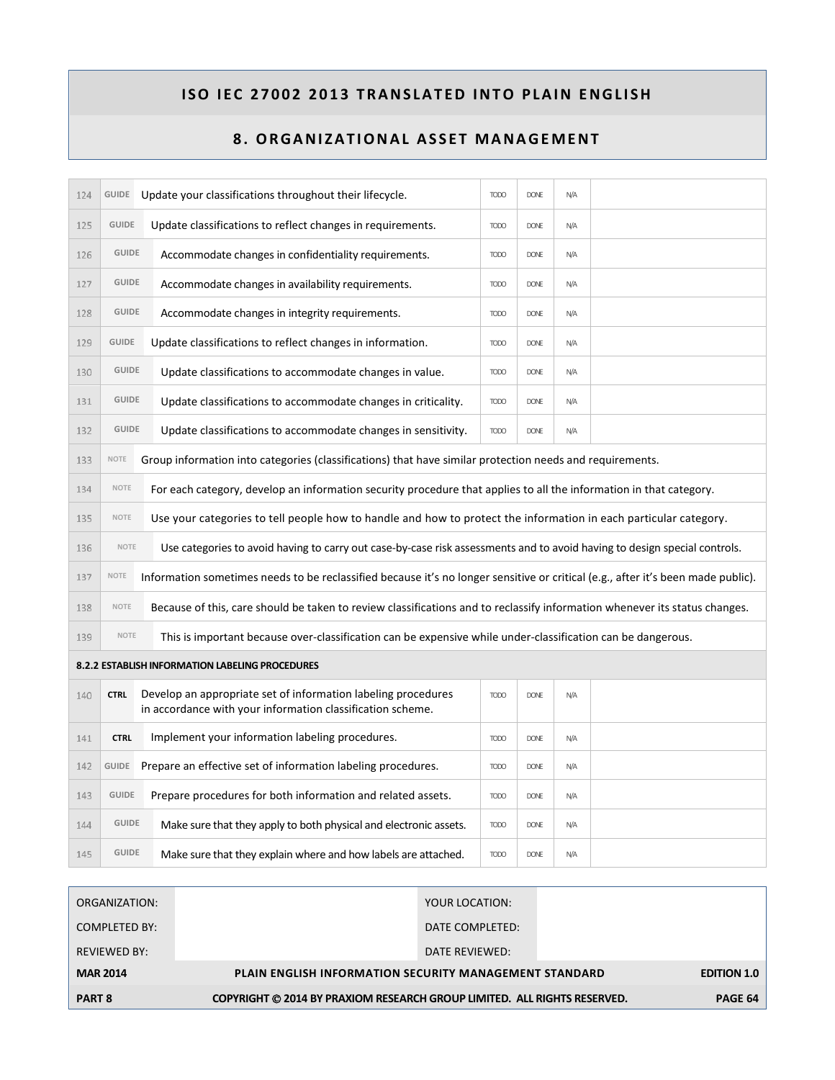| 124 | GUIDE        | Update your classifications throughout their lifecycle.                                                                          | <b>TODO</b> | <b>DONE</b> | N/A |  |  |  |
|-----|--------------|----------------------------------------------------------------------------------------------------------------------------------|-------------|-------------|-----|--|--|--|
| 125 | <b>GUIDE</b> | Update classifications to reflect changes in requirements.                                                                       | <b>TODO</b> | <b>DONE</b> | N/A |  |  |  |
| 126 | <b>GUIDE</b> | Accommodate changes in confidentiality requirements.                                                                             | <b>TODO</b> | <b>DONE</b> | N/A |  |  |  |
| 127 | <b>GUIDE</b> | Accommodate changes in availability requirements.                                                                                | <b>TODO</b> | <b>DONE</b> | N/A |  |  |  |
| 128 | <b>GUIDE</b> | Accommodate changes in integrity requirements.                                                                                   | <b>TODO</b> | <b>DONE</b> | N/A |  |  |  |
| 129 | <b>GUIDE</b> | Update classifications to reflect changes in information.                                                                        | <b>TODO</b> | <b>DONE</b> | N/A |  |  |  |
| 130 | <b>GUIDE</b> | Update classifications to accommodate changes in value.                                                                          | <b>TODO</b> | <b>DONE</b> | N/A |  |  |  |
| 131 | <b>GUIDE</b> | Update classifications to accommodate changes in criticality.                                                                    | <b>TODO</b> | <b>DONE</b> | N/A |  |  |  |
| 132 | <b>GUIDE</b> | Update classifications to accommodate changes in sensitivity.                                                                    | <b>TODO</b> | <b>DONE</b> | N/A |  |  |  |
| 133 | NOTE         | Group information into categories (classifications) that have similar protection needs and requirements.                         |             |             |     |  |  |  |
| 134 | NOTE         | For each category, develop an information security procedure that applies to all the information in that category.               |             |             |     |  |  |  |
| 135 | NOTE         | Use your categories to tell people how to handle and how to protect the information in each particular category.                 |             |             |     |  |  |  |
| 136 | <b>NOTE</b>  | Use categories to avoid having to carry out case-by-case risk assessments and to avoid having to design special controls.        |             |             |     |  |  |  |
| 137 | NOTE         | Information sometimes needs to be reclassified because it's no longer sensitive or critical (e.g., after it's been made public). |             |             |     |  |  |  |
| 138 | NOTE         | Because of this, care should be taken to review classifications and to reclassify information whenever its status changes.       |             |             |     |  |  |  |
| 139 | <b>NOTE</b>  | This is important because over-classification can be expensive while under-classification can be dangerous.                      |             |             |     |  |  |  |
|     |              | 8.2.2 ESTABLISH INFORMATION LABELING PROCEDURES                                                                                  |             |             |     |  |  |  |
| 140 | <b>CTRL</b>  | Develop an appropriate set of information labeling procedures<br>in accordance with your information classification scheme.      | <b>TODO</b> | <b>DONE</b> | N/A |  |  |  |
| 141 | <b>CTRL</b>  | Implement your information labeling procedures.                                                                                  | <b>TODO</b> | <b>DONE</b> | N/A |  |  |  |
| 142 | <b>GUIDE</b> | Prepare an effective set of information labeling procedures.                                                                     | <b>TODO</b> | <b>DONE</b> | N/A |  |  |  |
| 143 | <b>GUIDE</b> | Prepare procedures for both information and related assets.                                                                      | <b>TODO</b> | <b>DONE</b> | N/A |  |  |  |
| 144 | <b>GUIDE</b> | Make sure that they apply to both physical and electronic assets.                                                                | <b>TODO</b> | <b>DONE</b> | N/A |  |  |  |
| 145 | <b>GUIDE</b> | Make sure that they explain where and how labels are attached.                                                                   | <b>TODO</b> | <b>DONE</b> | N/A |  |  |  |

| ORGANIZATION:       | YOUR LOCATION:                                                           |  |  |  |  |  |
|---------------------|--------------------------------------------------------------------------|--|--|--|--|--|
| COMPLETED BY:       | DATE COMPLETED:                                                          |  |  |  |  |  |
| <b>REVIEWED BY:</b> | DATE REVIEWED:                                                           |  |  |  |  |  |
| <b>MAR 2014</b>     | <b>PLAIN ENGLISH INFORMATION SECURITY MANAGEMENT STANDARD</b>            |  |  |  |  |  |
| <b>PART 8</b>       | COPYRIGHT © 2014 BY PRAXIOM RESEARCH GROUP LIMITED. ALL RIGHTS RESERVED. |  |  |  |  |  |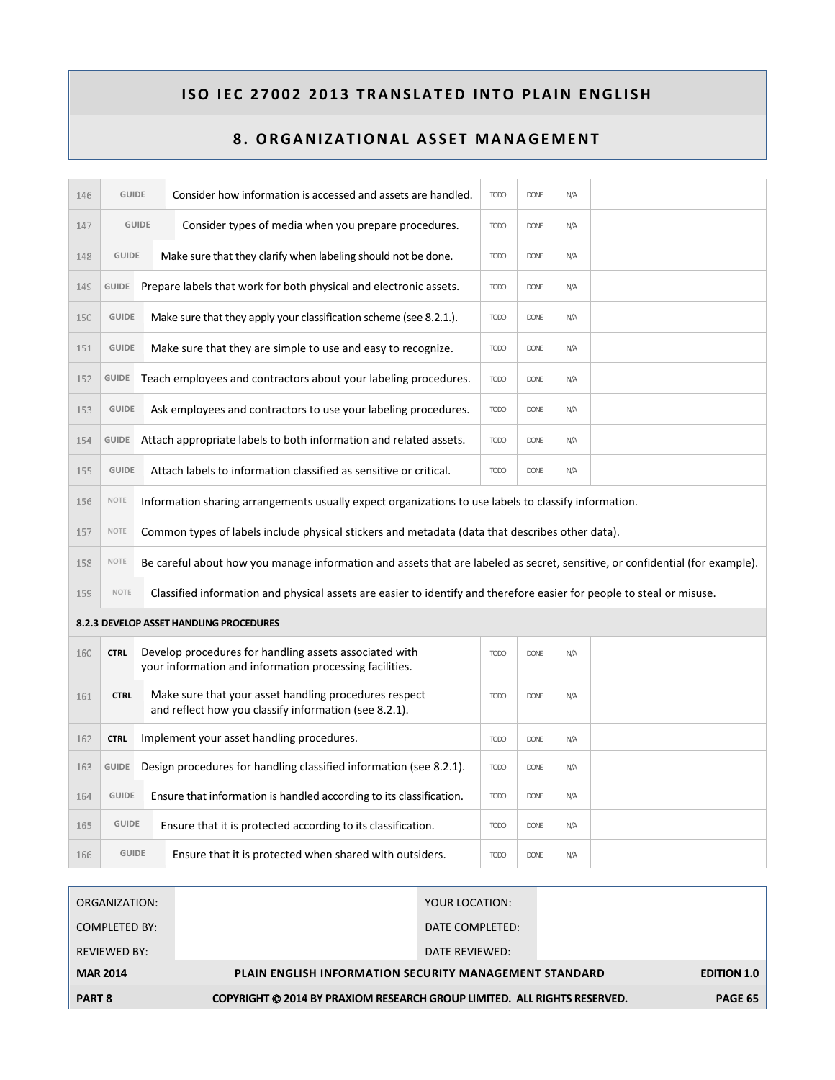| 146 | <b>GUIDE</b>                                                                                                        |  | Consider how information is accessed and assets are handled.                                                                 | <b>TODO</b> | <b>DONE</b> | N/A |  |  |
|-----|---------------------------------------------------------------------------------------------------------------------|--|------------------------------------------------------------------------------------------------------------------------------|-------------|-------------|-----|--|--|
| 147 | <b>GUIDE</b>                                                                                                        |  | Consider types of media when you prepare procedures.                                                                         | <b>TODO</b> | <b>DONE</b> | N/A |  |  |
| 148 | <b>GUIDE</b>                                                                                                        |  | Make sure that they clarify when labeling should not be done.                                                                | <b>TODO</b> | <b>DONE</b> | N/A |  |  |
| 149 | <b>GUIDE</b>                                                                                                        |  | Prepare labels that work for both physical and electronic assets.                                                            | <b>TODO</b> | <b>DONE</b> | N/A |  |  |
| 150 | <b>GUIDE</b>                                                                                                        |  | Make sure that they apply your classification scheme (see 8.2.1.).                                                           | <b>TODO</b> | <b>DONE</b> | N/A |  |  |
| 151 | <b>GUIDE</b>                                                                                                        |  | Make sure that they are simple to use and easy to recognize.                                                                 | <b>TODO</b> | <b>DONE</b> | N/A |  |  |
| 152 | GUIDE                                                                                                               |  | Teach employees and contractors about your labeling procedures.                                                              | <b>TODO</b> | <b>DONE</b> | N/A |  |  |
| 153 | <b>GUIDE</b>                                                                                                        |  | Ask employees and contractors to use your labeling procedures.                                                               | <b>TODO</b> | <b>DONE</b> | N/A |  |  |
| 154 | <b>GUIDE</b>                                                                                                        |  | Attach appropriate labels to both information and related assets.                                                            | <b>TODO</b> | <b>DONE</b> | N/A |  |  |
| 155 | <b>GUIDE</b>                                                                                                        |  | Attach labels to information classified as sensitive or critical.                                                            | <b>TODO</b> | <b>DONE</b> | N/A |  |  |
| 156 | <b>NOTE</b><br>Information sharing arrangements usually expect organizations to use labels to classify information. |  |                                                                                                                              |             |             |     |  |  |
| 157 | Common types of labels include physical stickers and metadata (data that describes other data).<br><b>NOTE</b>      |  |                                                                                                                              |             |             |     |  |  |
| 158 | <b>NOTE</b>                                                                                                         |  | Be careful about how you manage information and assets that are labeled as secret, sensitive, or confidential (for example). |             |             |     |  |  |
| 159 | <b>NOTE</b>                                                                                                         |  | Classified information and physical assets are easier to identify and therefore easier for people to steal or misuse.        |             |             |     |  |  |
|     |                                                                                                                     |  | 8.2.3 DEVELOP ASSET HANDLING PROCEDURES                                                                                      |             |             |     |  |  |
| 160 | <b>CTRL</b>                                                                                                         |  | Develop procedures for handling assets associated with<br>your information and information processing facilities.            | <b>TODO</b> | <b>DONE</b> | N/A |  |  |
| 161 | <b>CTRL</b>                                                                                                         |  | Make sure that your asset handling procedures respect<br>and reflect how you classify information (see 8.2.1).               | <b>TODO</b> | <b>DONE</b> | N/A |  |  |
| 162 | <b>CTRL</b>                                                                                                         |  | Implement your asset handling procedures.                                                                                    | <b>TODO</b> | <b>DONE</b> | N/A |  |  |
| 163 | <b>GUIDE</b>                                                                                                        |  | Design procedures for handling classified information (see 8.2.1).                                                           | <b>TODO</b> | <b>DONE</b> | N/A |  |  |
| 164 | <b>GUIDE</b>                                                                                                        |  | Ensure that information is handled according to its classification.                                                          | <b>TODO</b> | <b>DONE</b> | N/A |  |  |
| 165 | <b>GUIDE</b>                                                                                                        |  | Ensure that it is protected according to its classification.                                                                 | <b>TODO</b> | <b>DONE</b> | N/A |  |  |
| 166 | <b>GUIDE</b>                                                                                                        |  | Ensure that it is protected when shared with outsiders.                                                                      | <b>TODO</b> | <b>DONE</b> | N/A |  |  |

| ORGANIZATION:        | YOUR LOCATION:                                                           |  |  |  |  |
|----------------------|--------------------------------------------------------------------------|--|--|--|--|
| <b>COMPLETED BY:</b> | DATE COMPLETED:                                                          |  |  |  |  |
| <b>REVIEWED BY:</b>  | DATE REVIEWED:                                                           |  |  |  |  |
| <b>MAR 2014</b>      | <b>PLAIN ENGLISH INFORMATION SECURITY MANAGEMENT STANDARD</b>            |  |  |  |  |
| <b>PART 8</b>        | COPYRIGHT © 2014 BY PRAXIOM RESEARCH GROUP LIMITED. ALL RIGHTS RESERVED. |  |  |  |  |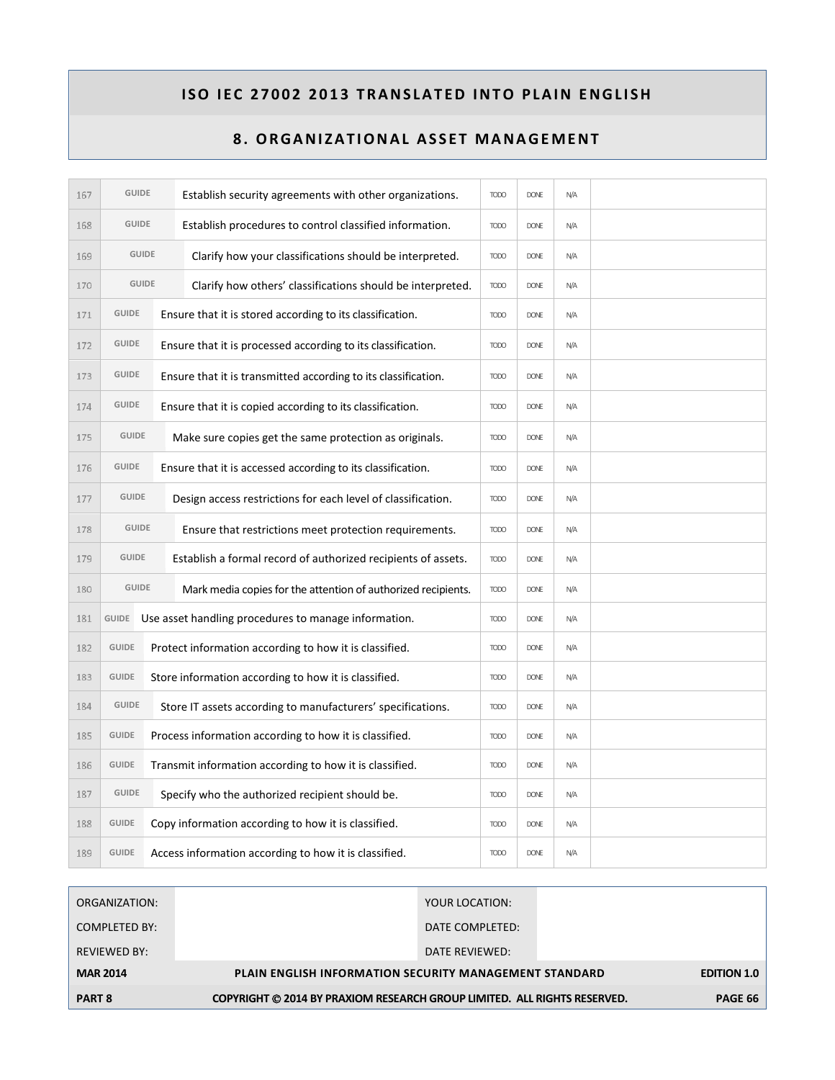| 167 | <b>GUIDE</b> |                                                              | Establish security agreements with other organizations.        | <b>TODO</b> | <b>DONE</b> | N/A |  |
|-----|--------------|--------------------------------------------------------------|----------------------------------------------------------------|-------------|-------------|-----|--|
| 168 | <b>GUIDE</b> |                                                              | Establish procedures to control classified information.        | <b>TODO</b> | <b>DONE</b> | N/A |  |
| 169 | <b>GUIDE</b> |                                                              | Clarify how your classifications should be interpreted.        | <b>TODO</b> | <b>DONE</b> | N/A |  |
| 170 | <b>GUIDE</b> |                                                              | Clarify how others' classifications should be interpreted.     | <b>TODO</b> | <b>DONE</b> | N/A |  |
| 171 | <b>GUIDE</b> |                                                              | Ensure that it is stored according to its classification.      | <b>TODO</b> | <b>DONE</b> | N/A |  |
| 172 | <b>GUIDE</b> |                                                              | Ensure that it is processed according to its classification.   | <b>TODO</b> | <b>DONE</b> | N/A |  |
| 173 | <b>GUIDE</b> |                                                              | Ensure that it is transmitted according to its classification. | <b>TODO</b> | <b>DONE</b> | N/A |  |
| 174 | <b>GUIDE</b> |                                                              | Ensure that it is copied according to its classification.      | <b>TODO</b> | <b>DONE</b> | N/A |  |
| 175 | <b>GUIDE</b> |                                                              | Make sure copies get the same protection as originals.         | <b>TODO</b> | <b>DONE</b> | N/A |  |
| 176 | <b>GUIDE</b> |                                                              | Ensure that it is accessed according to its classification.    | <b>TODO</b> | <b>DONE</b> | N/A |  |
| 177 | <b>GUIDE</b> | Design access restrictions for each level of classification. |                                                                | <b>TODO</b> | <b>DONE</b> | N/A |  |
| 178 | <b>GUIDE</b> |                                                              | Ensure that restrictions meet protection requirements.         | <b>TODO</b> | <b>DONE</b> | N/A |  |
| 179 | <b>GUIDE</b> |                                                              | Establish a formal record of authorized recipients of assets.  | <b>TODO</b> | <b>DONE</b> | N/A |  |
| 180 | <b>GUIDE</b> |                                                              | Mark media copies for the attention of authorized recipients.  | <b>TODO</b> | <b>DONE</b> | N/A |  |
| 181 | GUIDE        |                                                              | Use asset handling procedures to manage information.           | <b>TODO</b> | <b>DONE</b> | N/A |  |
| 182 | <b>GUIDE</b> |                                                              | Protect information according to how it is classified.         | <b>TODO</b> | <b>DONE</b> | N/A |  |
| 183 | <b>GUIDE</b> |                                                              | Store information according to how it is classified.           | <b>TODO</b> | <b>DONE</b> | N/A |  |
| 184 | <b>GUIDE</b> |                                                              | Store IT assets according to manufacturers' specifications.    | <b>TODO</b> | <b>DONE</b> | N/A |  |
| 185 | <b>GUIDE</b> |                                                              | Process information according to how it is classified.         | <b>TODO</b> | <b>DONE</b> | N/A |  |
| 186 | <b>GUIDE</b> |                                                              | Transmit information according to how it is classified.        | <b>TODO</b> | <b>DONE</b> | N/A |  |
| 187 | <b>GUIDE</b> |                                                              | Specify who the authorized recipient should be.                | <b>TODO</b> | <b>DONE</b> | N/A |  |
| 188 | <b>GUIDE</b> |                                                              | Copy information according to how it is classified.            | <b>TODO</b> | <b>DONE</b> | N/A |  |
| 189 | <b>GUIDE</b> |                                                              | Access information according to how it is classified.          | <b>TODO</b> | <b>DONE</b> | N/A |  |

| ORGANIZATION:       | YOUR LOCATION:                                                           |                    |
|---------------------|--------------------------------------------------------------------------|--------------------|
| COMPLETED BY:       | DATE COMPLETED:                                                          |                    |
| <b>REVIEWED BY:</b> | DATE REVIEWED:                                                           |                    |
| <b>MAR 2014</b>     | <b>PLAIN ENGLISH INFORMATION SECURITY MANAGEMENT STANDARD</b>            | <b>EDITION 1.0</b> |
| <b>PART 8</b>       | COPYRIGHT © 2014 BY PRAXIOM RESEARCH GROUP LIMITED. ALL RIGHTS RESERVED. | <b>PAGE 66</b>     |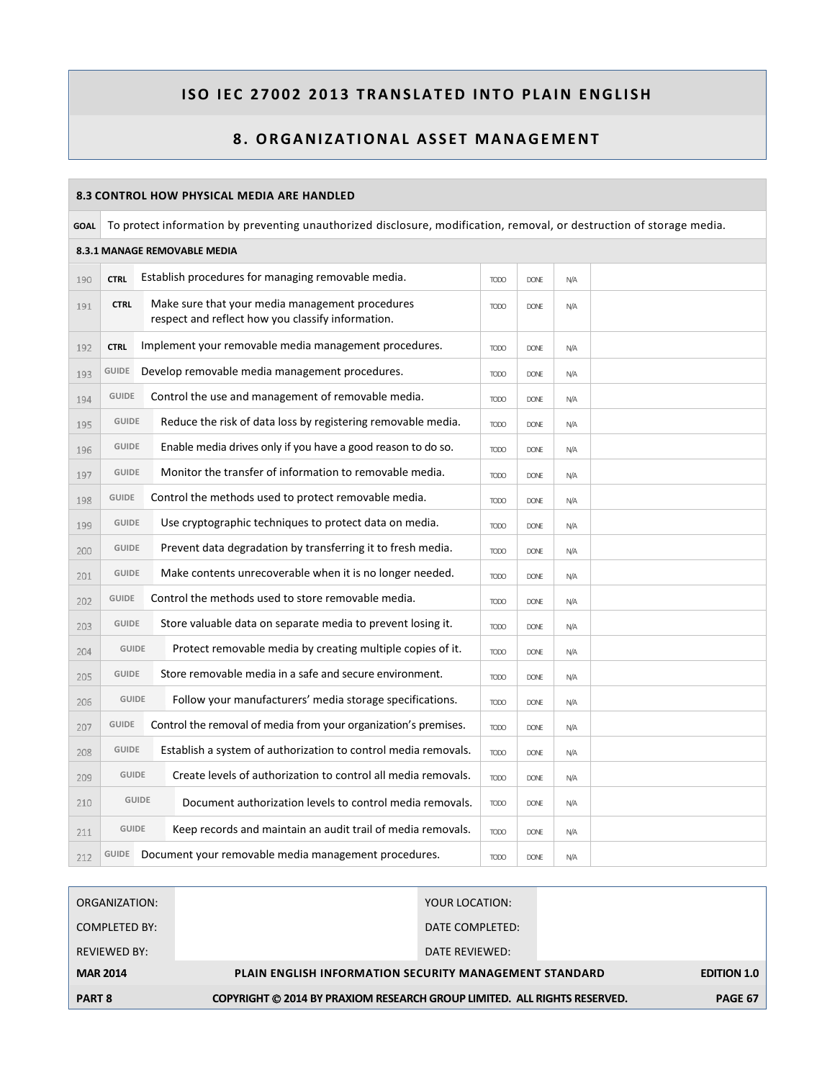| 8.3 CONTROL HOW PHYSICAL MEDIA ARE HANDLED |                                                                                                                       |                                                                                                      |             |             |     |  |  |  |  |
|--------------------------------------------|-----------------------------------------------------------------------------------------------------------------------|------------------------------------------------------------------------------------------------------|-------------|-------------|-----|--|--|--|--|
| <b>GOAL</b>                                | To protect information by preventing unauthorized disclosure, modification, removal, or destruction of storage media. |                                                                                                      |             |             |     |  |  |  |  |
|                                            | 8.3.1 MANAGE REMOVABLE MEDIA                                                                                          |                                                                                                      |             |             |     |  |  |  |  |
| 190                                        | <b>CTRL</b>                                                                                                           | Establish procedures for managing removable media.                                                   | <b>TODO</b> | <b>DONE</b> | N/A |  |  |  |  |
| 191                                        | <b>CTRL</b>                                                                                                           | Make sure that your media management procedures<br>respect and reflect how you classify information. | <b>TODO</b> | <b>DONE</b> | N/A |  |  |  |  |
| 192                                        | <b>CTRL</b>                                                                                                           | Implement your removable media management procedures.                                                | <b>TODO</b> | <b>DONE</b> | N/A |  |  |  |  |
| 193                                        | GUIDE                                                                                                                 | Develop removable media management procedures.                                                       | <b>TODO</b> | <b>DONE</b> | N/A |  |  |  |  |
| 194                                        | <b>GUIDE</b>                                                                                                          | Control the use and management of removable media.                                                   | <b>TODO</b> | <b>DONE</b> | N/A |  |  |  |  |
| 195                                        | <b>GUIDE</b>                                                                                                          | Reduce the risk of data loss by registering removable media.                                         | <b>TODO</b> | <b>DONE</b> | N/A |  |  |  |  |
| 196                                        | <b>GUIDE</b>                                                                                                          | Enable media drives only if you have a good reason to do so.                                         | <b>TODO</b> | <b>DONE</b> | N/A |  |  |  |  |
| 197                                        | <b>GUIDE</b>                                                                                                          | Monitor the transfer of information to removable media.                                              | <b>TODO</b> | <b>DONE</b> | N/A |  |  |  |  |
| 198                                        | <b>GUIDE</b>                                                                                                          | Control the methods used to protect removable media.                                                 | <b>TODO</b> | <b>DONE</b> | N/A |  |  |  |  |
| 199                                        | <b>GUIDE</b>                                                                                                          | Use cryptographic techniques to protect data on media.                                               | <b>TODO</b> | <b>DONE</b> | N/A |  |  |  |  |
| 200                                        | <b>GUIDE</b>                                                                                                          | Prevent data degradation by transferring it to fresh media.                                          | <b>TODO</b> | <b>DONE</b> | N/A |  |  |  |  |
| 201                                        | <b>GUIDE</b>                                                                                                          | Make contents unrecoverable when it is no longer needed.                                             | <b>TODO</b> | <b>DONE</b> | N/A |  |  |  |  |
| 202                                        | <b>GUIDE</b>                                                                                                          | Control the methods used to store removable media.                                                   | <b>TODO</b> | <b>DONE</b> | N/A |  |  |  |  |
| 203                                        | <b>GUIDE</b>                                                                                                          | Store valuable data on separate media to prevent losing it.                                          | <b>TODO</b> | <b>DONE</b> | N/A |  |  |  |  |
| 204                                        | <b>GUIDE</b>                                                                                                          | Protect removable media by creating multiple copies of it.                                           | <b>TODO</b> | <b>DONE</b> | N/A |  |  |  |  |
| 205                                        | <b>GUIDE</b>                                                                                                          | Store removable media in a safe and secure environment.                                              | <b>TODO</b> | <b>DONE</b> | N/A |  |  |  |  |
| 206                                        | <b>GUIDE</b>                                                                                                          | Follow your manufacturers' media storage specifications.                                             | <b>TODO</b> | <b>DONE</b> | N/A |  |  |  |  |
| 207                                        | <b>GUIDE</b>                                                                                                          | Control the removal of media from your organization's premises.                                      | <b>TODO</b> | <b>DONE</b> | N/A |  |  |  |  |
| 208                                        | <b>GUIDE</b>                                                                                                          | Establish a system of authorization to control media removals.                                       | <b>TODO</b> | <b>DONE</b> | N/A |  |  |  |  |
| 209                                        | <b>GUIDE</b>                                                                                                          | Create levels of authorization to control all media removals.                                        | <b>TODO</b> | <b>DONE</b> | N/A |  |  |  |  |
| 210                                        |                                                                                                                       | <b>GUIDE</b><br>Document authorization levels to control media removals.                             | <b>TODO</b> | <b>DONE</b> | N/A |  |  |  |  |
| 211                                        | <b>GUIDE</b>                                                                                                          | Keep records and maintain an audit trail of media removals.                                          | <b>TODO</b> | <b>DONE</b> | N/A |  |  |  |  |
| 212                                        | GUIDE                                                                                                                 | Document your removable media management procedures.                                                 | <b>TODO</b> | <b>DONE</b> | N/A |  |  |  |  |

| ORGANIZATION:       | YOUR LOCATION:                                                           |                    |
|---------------------|--------------------------------------------------------------------------|--------------------|
| COMPLETED BY:       | DATE COMPLETED:                                                          |                    |
| <b>REVIEWED BY:</b> | DATE REVIEWED:                                                           |                    |
| <b>MAR 2014</b>     | <b>PLAIN ENGLISH INFORMATION SECURITY MANAGEMENT STANDARD</b>            | <b>EDITION 1.0</b> |
| <b>PART 8</b>       | COPYRIGHT © 2014 BY PRAXIOM RESEARCH GROUP LIMITED. ALL RIGHTS RESERVED. | <b>PAGE 67</b>     |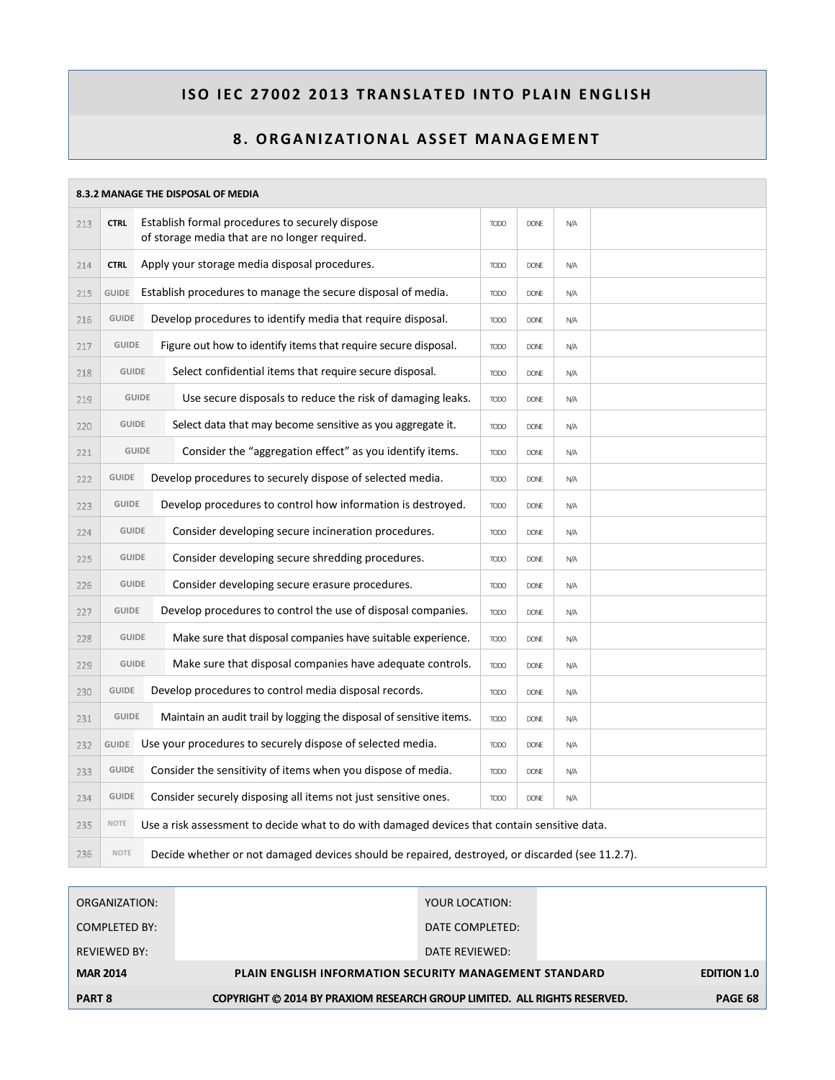| 8.3.2 MANAGE THE DISPOSAL OF MEDIA |              |  |                                                                                                  |             |             |     |  |
|------------------------------------|--------------|--|--------------------------------------------------------------------------------------------------|-------------|-------------|-----|--|
| 213                                | <b>CTRL</b>  |  | Establish formal procedures to securely dispose<br>of storage media that are no longer required. | <b>TODO</b> | <b>DONE</b> | N/A |  |
| 214                                | <b>CTRL</b>  |  | Apply your storage media disposal procedures.                                                    | <b>TODO</b> | <b>DONE</b> | N/A |  |
| 215                                | <b>GUIDE</b> |  | Establish procedures to manage the secure disposal of media.                                     | <b>TODO</b> | <b>DONE</b> | N/A |  |
| 216                                | <b>GUIDE</b> |  | Develop procedures to identify media that require disposal.                                      | <b>TODO</b> | <b>DONE</b> | N/A |  |
| 217                                | <b>GUIDE</b> |  | Figure out how to identify items that require secure disposal.                                   | <b>TODO</b> | <b>DONE</b> | N/A |  |
| 218                                | <b>GUIDE</b> |  | Select confidential items that require secure disposal.                                          | <b>TODO</b> | <b>DONE</b> | N/A |  |
| 219                                | <b>GUIDE</b> |  | Use secure disposals to reduce the risk of damaging leaks.                                       | <b>TODO</b> | <b>DONE</b> | N/A |  |
| 220                                | <b>GUIDE</b> |  | Select data that may become sensitive as you aggregate it.                                       | <b>TODO</b> | <b>DONE</b> | N/A |  |
| 221                                | <b>GUIDE</b> |  | Consider the "aggregation effect" as you identify items.                                         | <b>TODO</b> | <b>DONE</b> | N/A |  |
| 222                                | <b>GUIDE</b> |  | Develop procedures to securely dispose of selected media.                                        | <b>TODO</b> | <b>DONE</b> | N/A |  |
| 223                                | <b>GUIDE</b> |  | Develop procedures to control how information is destroyed.                                      | <b>TODO</b> | <b>DONE</b> | N/A |  |
| 224                                | <b>GUIDE</b> |  | Consider developing secure incineration procedures.                                              | <b>TODO</b> | <b>DONE</b> | N/A |  |
| 225                                | <b>GUIDE</b> |  | Consider developing secure shredding procedures.                                                 | <b>TODO</b> | <b>DONE</b> | N/A |  |
| 226                                | <b>GUIDE</b> |  | Consider developing secure erasure procedures.                                                   | <b>TODO</b> | <b>DONE</b> | N/A |  |
| 227                                | <b>GUIDE</b> |  | Develop procedures to control the use of disposal companies.                                     | <b>TODO</b> | <b>DONE</b> | N/A |  |
| 228                                | <b>GUIDE</b> |  | Make sure that disposal companies have suitable experience.                                      | <b>TODO</b> | <b>DONE</b> | N/A |  |
| 229                                | <b>GUIDE</b> |  | Make sure that disposal companies have adequate controls.                                        | <b>TODO</b> | <b>DONE</b> | N/A |  |
| 230                                | <b>GUIDE</b> |  | Develop procedures to control media disposal records.                                            | <b>TODO</b> | <b>DONE</b> | N/A |  |
| 231                                | <b>GUIDE</b> |  | Maintain an audit trail by logging the disposal of sensitive items.                              | <b>TODO</b> | <b>DONE</b> | N/A |  |
| 232                                | GUIDE        |  | Use your procedures to securely dispose of selected media.                                       | <b>TODO</b> | <b>DONE</b> | N/A |  |
| 233                                | <b>GUIDE</b> |  | Consider the sensitivity of items when you dispose of media.                                     | <b>TODO</b> | <b>DONE</b> | N/A |  |
| 234                                | <b>GUIDE</b> |  | Consider securely disposing all items not just sensitive ones.                                   | <b>TODO</b> | <b>DONF</b> | N/A |  |
| 235                                | NOTE         |  | Use a risk assessment to decide what to do with damaged devices that contain sensitive data.     |             |             |     |  |
| 236                                | <b>NOTE</b>  |  | Decide whether or not damaged devices should be repaired, destroyed, or discarded (see 11.2.7).  |             |             |     |  |

| ORGANIZATION:       | YOUR LOCATION:                                                           |                    |
|---------------------|--------------------------------------------------------------------------|--------------------|
| COMPLETED BY:       | DATE COMPLETED:                                                          |                    |
| <b>REVIEWED BY:</b> | DATE REVIEWED:                                                           |                    |
| <b>MAR 2014</b>     | <b>PLAIN ENGLISH INFORMATION SECURITY MANAGEMENT STANDARD</b>            | <b>EDITION 1.0</b> |
| <b>PART 8</b>       | COPYRIGHT © 2014 BY PRAXIOM RESEARCH GROUP LIMITED. ALL RIGHTS RESERVED. | <b>PAGE 68</b>     |